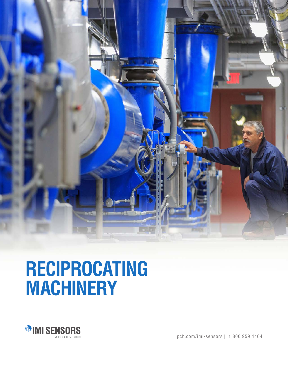

# **RECIPROCATING MACHINERY**



pcb.com/imi-sensors | 1 800 959 4464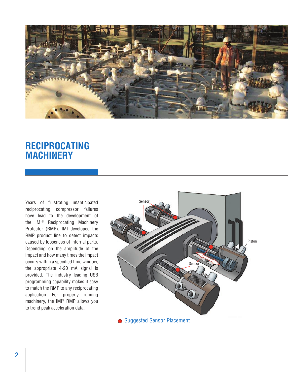

## **RECIPROCATING MACHINERY**

Years of frustrating unanticipated reciprocating compressor failures have lead to the development of the IMI® Reciprocating Machinery Protector (RMP). IMI developed the RMP product line to detect impacts caused by looseness of internal parts. Depending on the amplitude of the impact and how many times the impact occurs within a specified time window, the appropriate 4-20 mA signal is provided. The industry leading USB programming capability makes it easy to match the RMP to any reciprocating application. For properly running machinery, the IMI® RMP allows you to trend peak acceleration data.

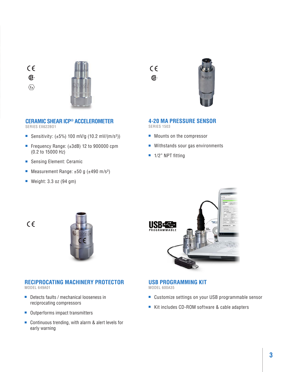$C \in$ ®.

 $\langle \epsilon_{\mathbf{x}} \rangle$ 



### **CERAMIC SHEAR ICP® ACCELEROMETER**

SERIES EX622BO1

- Sensitivity:  $(\pm 5\%)$  100 mV/g (10.2 mV/(m/s<sup>2</sup>))
- Frequency Range: (±3dB) 12 to 900000 cpm (0.2 to 15000 Hz)
- Sensing Element: Ceramic
- Measurement Range: ±50 g (±490 m/s<sup>2</sup>)
- Weight: 3.3 oz (94 gm)

**4-20 MA PRESSURE SENSOR** SERIES 1503

 $C \in$ 

®

- Mounts on the compressor
- Withstands sour gas environments
- 1/2" NPT fitting

USBE PROGRAMMABLE





#### **RECIPROCATING MACHINERY PROTECTOR**

MODEL 649A01

- Detects faults / mechanical looseness in reciprocating compressors
- Outperforms impact transmitters
- Continuous trending, with alarm & alert levels for early warning



- Customize settings on your USB programmable sensor
- Kit includes CD-ROM software & cable adapters